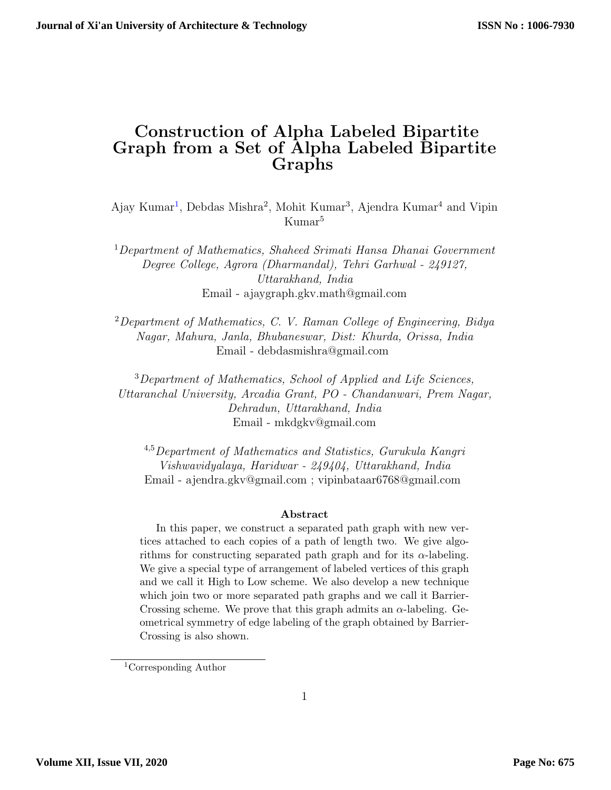## Construction of Alpha Labeled Bipartite Graph from a Set of Alpha Labeled Bipartite Graphs

Ajay Kumar<sup>[1](#page-0-0)</sup>, Debdas Mishra<sup>2</sup>, Mohit Kumar<sup>3</sup>, Ajendra Kumar<sup>4</sup> and Vipin Kumar<sup>5</sup>

<sup>1</sup>Department of Mathematics, Shaheed Srimati Hansa Dhanai Government Degree College, Agrora (Dharmandal), Tehri Garhwal - 249127, Uttarakhand, India Email - ajaygraph.gkv.math@gmail.com

<sup>2</sup>Department of Mathematics, C. V. Raman College of Engineering, Bidya Nagar, Mahura, Janla, Bhubaneswar, Dist: Khurda, Orissa, India Email - debdasmishra@gmail.com

<sup>3</sup>Department of Mathematics, School of Applied and Life Sciences, Uttaranchal University, Arcadia Grant, PO - Chandanwari, Prem Nagar, Dehradun, Uttarakhand, India Email - mkdgkv@gmail.com

<sup>4</sup>,<sup>5</sup>Department of Mathematics and Statistics, Gurukula Kangri Vishwavidyalaya, Haridwar - 249404, Uttarakhand, India Email - ajendra.gkv@gmail.com ; vipinbataar6768@gmail.com

#### Abstract

In this paper, we construct a separated path graph with new vertices attached to each copies of a path of length two. We give algorithms for constructing separated path graph and for its  $\alpha$ -labeling. We give a special type of arrangement of labeled vertices of this graph and we call it High to Low scheme. We also develop a new technique which join two or more separated path graphs and we call it Barrier-Crossing scheme. We prove that this graph admits an  $\alpha$ -labeling. Geometrical symmetry of edge labeling of the graph obtained by Barrier-Crossing is also shown.

<span id="page-0-0"></span><sup>1</sup>Corresponding Author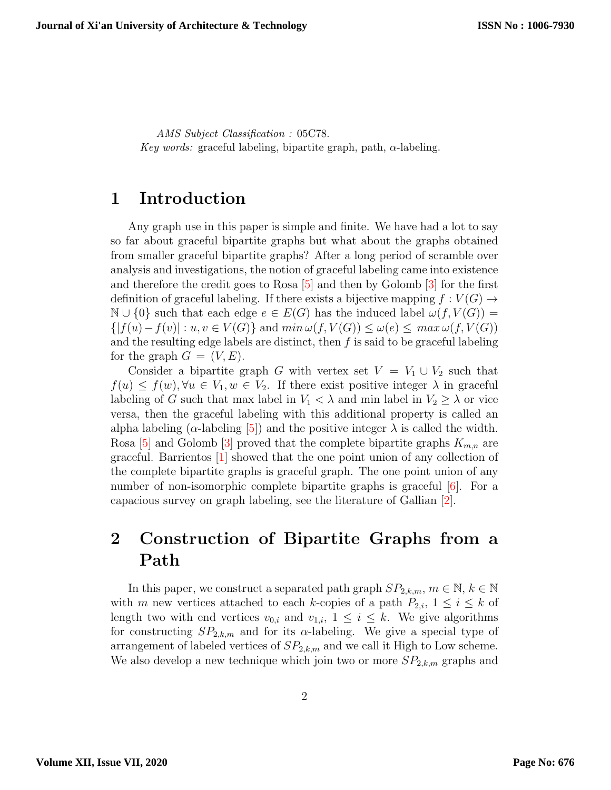AMS Subject Classification : 05C78. Key words: graceful labeling, bipartite graph, path,  $\alpha$ -labeling.

### 1 Introduction

Any graph use in this paper is simple and finite. We have had a lot to say so far about graceful bipartite graphs but what about the graphs obtained from smaller graceful bipartite graphs? After a long period of scramble over analysis and investigations, the notion of graceful labeling came into existence and therefore the credit goes to Rosa [\[5\]](#page-6-0) and then by Golomb [\[3\]](#page-6-1) for the first definition of graceful labeling. If there exists a bijective mapping  $f: V(G) \rightarrow$  $\mathbb{N} \cup \{0\}$  such that each edge  $e \in E(G)$  has the induced label  $\omega(f, V(G)) =$  $\{ |f(u)-f(v)| : u, v \in V(G) \}$  and  $\min \omega(f, V(G)) \leq \omega(e) \leq \max \omega(f, V(G))$ and the resulting edge labels are distinct, then  $f$  is said to be graceful labeling for the graph  $G = (V, E)$ .

Consider a bipartite graph G with vertex set  $V = V_1 \cup V_2$  such that  $f(u) \leq f(w), \forall u \in V_1, w \in V_2$ . If there exist positive integer  $\lambda$  in graceful labeling of G such that max label in  $V_1 < \lambda$  and min label in  $V_2 \geq \lambda$  or vice versa, then the graceful labeling with this additional property is called an alpha labeling ( $\alpha$ -labeling [\[5\]](#page-6-0)) and the positive integer  $\lambda$  is called the width. Rosa [\[5\]](#page-6-0) and Golomb [\[3\]](#page-6-1) proved that the complete bipartite graphs  $K_{m,n}$  are graceful. Barrientos [\[1\]](#page-6-2) showed that the one point union of any collection of the complete bipartite graphs is graceful graph. The one point union of any number of non-isomorphic complete bipartite graphs is graceful [\[6\]](#page-6-3). For a capacious survey on graph labeling, see the literature of Gallian [\[2\]](#page-6-4).

# 2 Construction of Bipartite Graphs from a Path

In this paper, we construct a separated path graph  $SP_{2,k,m}$ ,  $m \in \mathbb{N}$ ,  $k \in \mathbb{N}$ with m new vertices attached to each k-copies of a path  $P_{2,i}$ ,  $1 \leq i \leq k$  of length two with end vertices  $v_{0,i}$  and  $v_{1,i}$ ,  $1 \leq i \leq k$ . We give algorithms for constructing  $SP_{2,k,m}$  and for its  $\alpha$ -labeling. We give a special type of arrangement of labeled vertices of  $SP_{2,k,m}$  and we call it High to Low scheme. We also develop a new technique which join two or more  $SP_{2,k,m}$  graphs and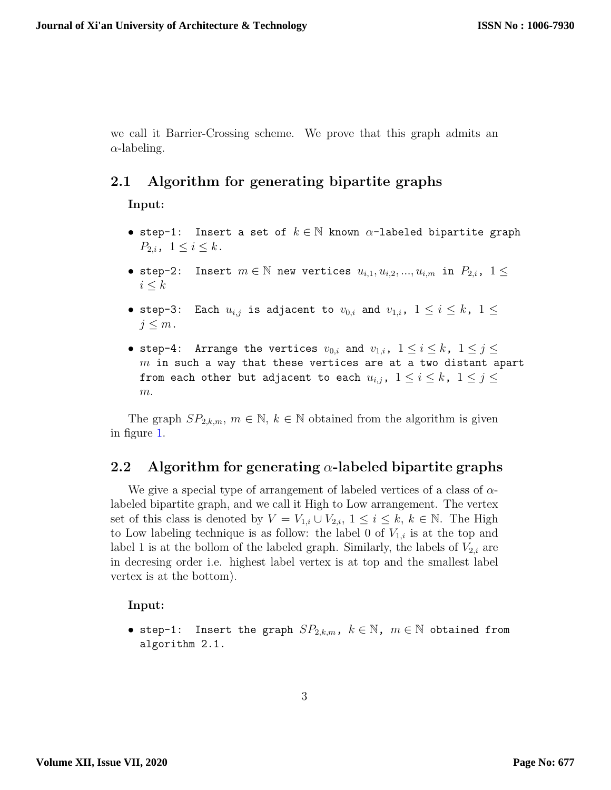we call it Barrier-Crossing scheme. We prove that this graph admits an  $\alpha$ -labeling.

### 2.1 Algorithm for generating bipartite graphs

Input:

- step-1: Insert a set of  $k \in \mathbb{N}$  known  $\alpha$ -labeled bipartite graph  $P_{2,i}$ ,  $1 \leq i \leq k$ .
- step-2: Insert  $m \in \mathbb{N}$  new vertices  $u_{i,1}, u_{i,2}, ..., u_{i,m}$  in  $P_{2,i}$ ,  $1 \leq$  $i \leq k$
- step-3: Each  $u_{i,j}$  is adjacent to  $v_{0,i}$  and  $v_{1,i}$ ,  $1 \leq i \leq k$ ,  $1 \leq i$  $j \leq m$ .
- step-4: Arrange the vertices  $v_{0,i}$  and  $v_{1,i}$ ,  $1\leq i\leq k$ ,  $1\leq j\leq k$  $m$  in such a way that these vertices are at a two distant apart from each other but adjacent to each  $u_{i,j}$ ,  $1 \leq i \leq k$ ,  $1 \leq j \leq k$ m.

The graph  $SP_{2,k,m}$ ,  $m \in \mathbb{N}$ ,  $k \in \mathbb{N}$  obtained from the algorithm is given in figure [1.](#page-3-0)

#### 2.2 Algorithm for generating  $\alpha$ -labeled bipartite graphs

We give a special type of arrangement of labeled vertices of a class of  $\alpha$ labeled bipartite graph, and we call it High to Low arrangement. The vertex set of this class is denoted by  $V = V_{1,i} \cup V_{2,i}$ ,  $1 \leq i \leq k$ ,  $k \in \mathbb{N}$ . The High to Low labeling technique is as follow: the label 0 of  $V_{1,i}$  is at the top and label 1 is at the bollom of the labeled graph. Similarly, the labels of  $V_{2,i}$  are in decresing order i.e. highest label vertex is at top and the smallest label vertex is at the bottom).

#### Input:

• step-1: Insert the graph  $SP_{2,k,m}$ ,  $k \in \mathbb{N}$ ,  $m \in \mathbb{N}$  obtained from algorithm 2.1.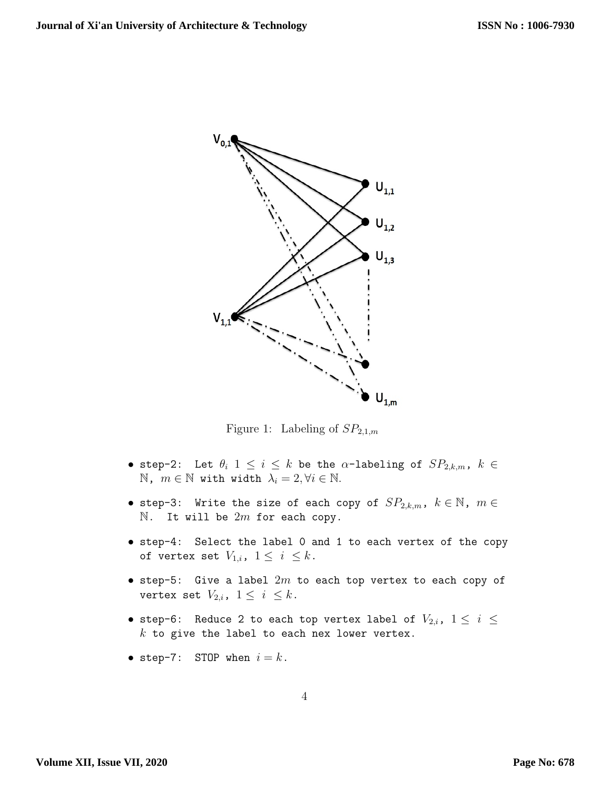

<span id="page-3-0"></span>Figure 1: Labeling of  $SP_{2,1,m}$ 

- step-2: Let  $\theta_i$   $1\,\leq\, i\,\leq\, k$  be the  $\alpha\textrm{-labeling of } SP_{2,k,m},\,\, k\,\in\,$ N,  $m \in \mathbb{N}$  with width  $\lambda_i = 2, \forall i \in \mathbb{N}$ .
- step-3: Write the size of each copy of  $SP_{2,k,m}$ ,  $k\in\mathbb{N}$ ,  $m\in\mathbb{N}$  $\mathbb N$ . It will be  $2m$  for each copy.
- step-4: Select the label 0 and 1 to each vertex of the copy of vertex set  $V_{1,i}$ ,  $1 \leq i \leq k$ .
- $\bullet$  step-5: Give a label  $2m$  to each top vertex to each copy of vertex set  $V_{2,i}$ ,  $1 \leq i \leq k$ .
- step-6: Reduce 2 to each top vertex label of  $V_{2,i}$ ,  $1\leq i\leq j$  $k$  to give the label to each nex lower vertex.
- step-7: STOP when  $i = k$ .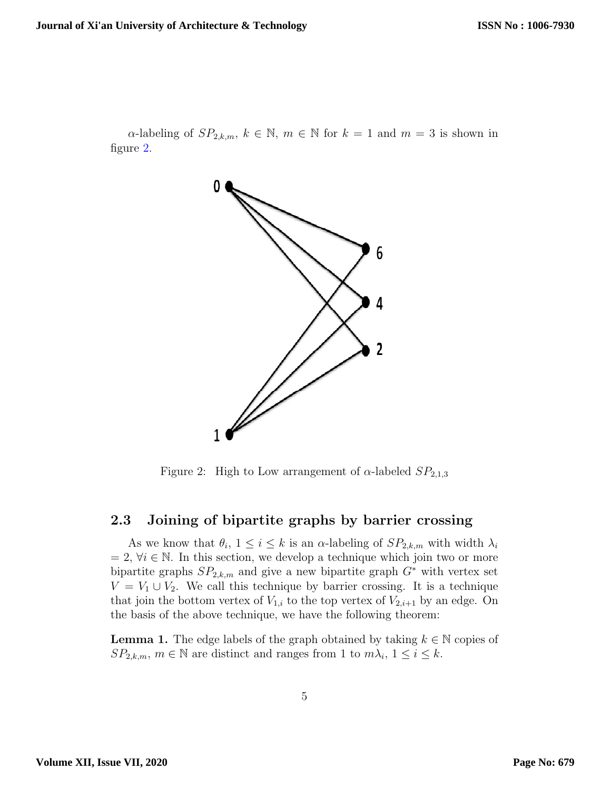$\alpha$ -labeling of  $SP_{2,k,m}$ ,  $k \in \mathbb{N}$ ,  $m \in \mathbb{N}$  for  $k = 1$  and  $m = 3$  is shown in figure [2.](#page-4-0)



<span id="page-4-0"></span>Figure 2: High to Low arrangement of  $\alpha$ -labeled  $SP_{2,1,3}$ 

#### 2.3 Joining of bipartite graphs by barrier crossing

As we know that  $\theta_i$ ,  $1 \leq i \leq k$  is an  $\alpha$ -labeling of  $SP_{2,k,m}$  with width  $\lambda_i$  $= 2, \forall i \in \mathbb{N}$ . In this section, we develop a technique which join two or more bipartite graphs  $SP_{2,k,m}$  and give a new bipartite graph  $G^*$  with vertex set  $V = V_1 \cup V_2$ . We call this technique by barrier crossing. It is a technique that join the bottom vertex of  $V_{1,i}$  to the top vertex of  $V_{2,i+1}$  by an edge. On the basis of the above technique, we have the following theorem:

**Lemma 1.** The edge labels of the graph obtained by taking  $k \in \mathbb{N}$  copies of  $SP_{2,k,m}$ ,  $m \in \mathbb{N}$  are distinct and ranges from 1 to  $m\lambda_i$ ,  $1 \leq i \leq k$ .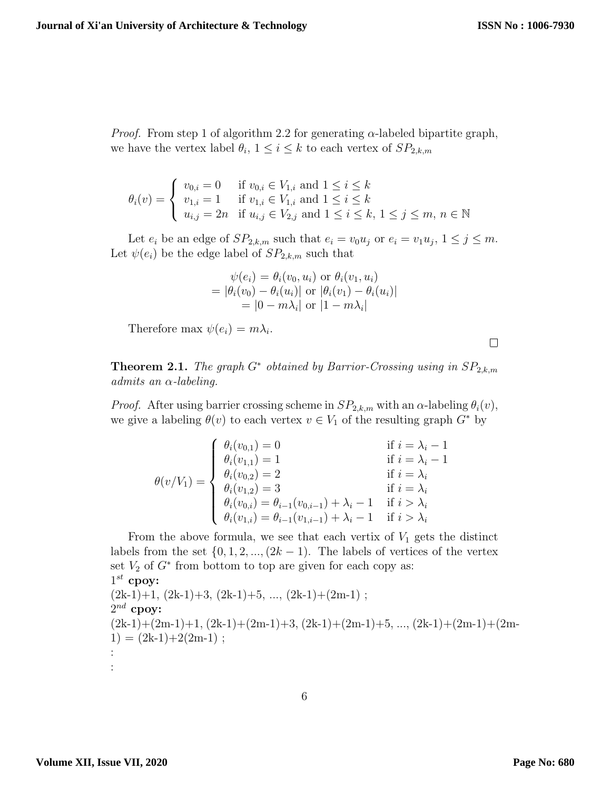$\Box$ 

*Proof.* From step 1 of algorithm 2.2 for generating  $\alpha$ -labeled bipartite graph, we have the vertex label  $\theta_i$ ,  $1 \leq i \leq k$  to each vertex of  $SP_{2,k,m}$ 

$$
\theta_i(v) = \begin{cases} v_{0,i} = 0 & \text{if } v_{0,i} \in V_{1,i} \text{ and } 1 \le i \le k \\ v_{1,i} = 1 & \text{if } v_{1,i} \in V_{1,i} \text{ and } 1 \le i \le k \\ u_{i,j} = 2n & \text{if } u_{i,j} \in V_{2,j} \text{ and } 1 \le i \le k, 1 \le j \le m, n \in \mathbb{N} \end{cases}
$$

Let  $e_i$  be an edge of  $SP_{2,k,m}$  such that  $e_i = v_0 u_j$  or  $e_i = v_1 u_j$ ,  $1 \leq j \leq m$ . Let  $\psi(e_i)$  be the edge label of  $SP_{2,k,m}$  such that

$$
\psi(e_i) = \theta_i(v_0, u_i) \text{ or } \theta_i(v_1, u_i)
$$
  
=  $|\theta_i(v_0) - \theta_i(u_i)|$  or  $|\theta_i(v_1) - \theta_i(u_i)|$   
=  $|0 - m\lambda_i|$  or  $|1 - m\lambda_i|$ 

Therefore max  $\psi(e_i) = m\lambda_i$ .

**Theorem 2.1.** The graph  $G^*$  obtained by Barrior-Crossing using in  $SP_{2,k,m}$ admits an  $\alpha$ -labeling.

*Proof.* After using barrier crossing scheme in  $SP_{2,k,m}$  with an  $\alpha$ -labeling  $\theta_i(v)$ , we give a labeling  $\theta(v)$  to each vertex  $v \in V_1$  of the resulting graph  $G^*$  by

$$
\theta(v/V_1) = \begin{cases}\n\theta_i(v_{0,1}) = 0 & \text{if } i = \lambda_i - 1 \\
\theta_i(v_{1,1}) = 1 & \text{if } i = \lambda_i - 1 \\
\theta_i(v_{0,2}) = 2 & \text{if } i = \lambda_i \\
\theta_i(v_{1,2}) = 3 & \text{if } i = \lambda_i \\
\theta_i(v_{0,i}) = \theta_{i-1}(v_{0,i-1}) + \lambda_i - 1 & \text{if } i > \lambda_i \\
\theta_i(v_{1,i}) = \theta_{i-1}(v_{1,i-1}) + \lambda_i - 1 & \text{if } i > \lambda_i\n\end{cases}
$$

From the above formula, we see that each vertix of  $V_1$  gets the distinct labels from the set  $\{0, 1, 2, ..., (2k-1)\}$ . The labels of vertices of the vertex set  $V_2$  of  $G^*$  from bottom to top are given for each copy as:  $1^{st}$  cpoy:  $(2k-1)+1$ ,  $(2k-1)+3$ ,  $(2k-1)+5$ , ...,  $(2k-1)+(2m-1)$ ;  $2^{nd}$  cpoy:  $(2k-1)+(2m-1)+1$ ,  $(2k-1)+(2m-1)+3$ ,  $(2k-1)+(2m-1)+5$ , ...,  $(2k-1)+(2m-1)+(2m-1)$  $1) = (2k-1)+2(2m-1)$ ; : :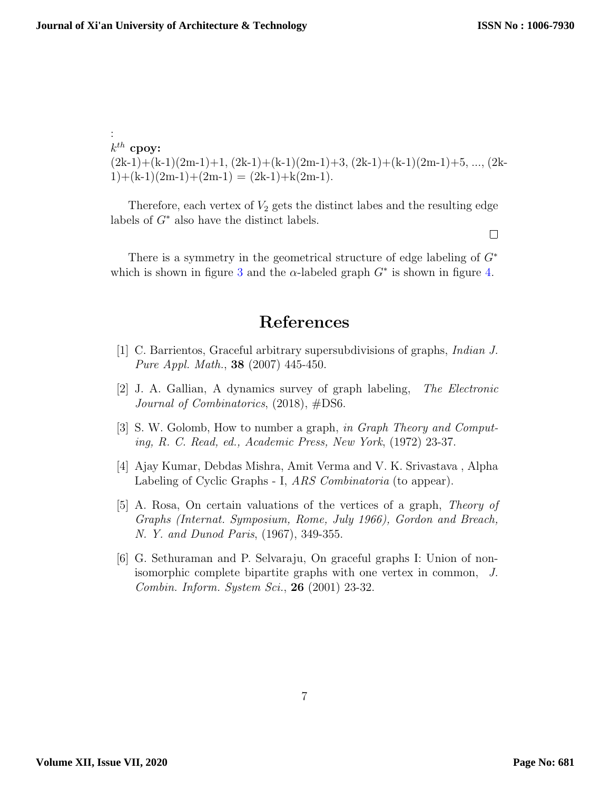$\Box$ 

:  $k^{th}$  cpoy:  $(2k-1)+(k-1)(2m-1)+1$ ,  $(2k-1)+(k-1)(2m-1)+3$ ,  $(2k-1)+(k-1)(2m-1)+5$ , ...,  $(2k-1)+(k-1)(2m-1)+3$  $1)+(k-1)(2m-1)+(2m-1) = (2k-1)+k(2m-1).$ 

Therefore, each vertex of  $V_2$  gets the distinct labes and the resulting edge labels of  $G^*$  also have the distinct labels.

There is a symmetry in the geometrical structure of edge labeling of  $G^*$ which is shown in figure [3](#page-7-0) and the  $\alpha$ -labeled graph  $G^*$  is shown in figure [4.](#page-8-0)

# References

- <span id="page-6-2"></span>[1] C. Barrientos, Graceful arbitrary supersubdivisions of graphs, Indian J. Pure Appl. Math., 38 (2007) 445-450.
- <span id="page-6-4"></span>[2] J. A. Gallian, A dynamics survey of graph labeling, The Electronic Journal of Combinatorics, (2018), #DS6.
- <span id="page-6-1"></span>[3] S. W. Golomb, How to number a graph, in Graph Theory and Computing, R. C. Read, ed., Academic Press, New York, (1972) 23-37.
- [4] Ajay Kumar, Debdas Mishra, Amit Verma and V. K. Srivastava , Alpha Labeling of Cyclic Graphs - I, *ARS Combinatoria* (to appear).
- <span id="page-6-0"></span>[5] A. Rosa, On certain valuations of the vertices of a graph, Theory of Graphs (Internat. Symposium, Rome, July 1966), Gordon and Breach, N. Y. and Dunod Paris, (1967), 349-355.
- <span id="page-6-3"></span>[6] G. Sethuraman and P. Selvaraju, On graceful graphs I: Union of nonisomorphic complete bipartite graphs with one vertex in common, J. Combin. Inform. System Sci., 26 (2001) 23-32.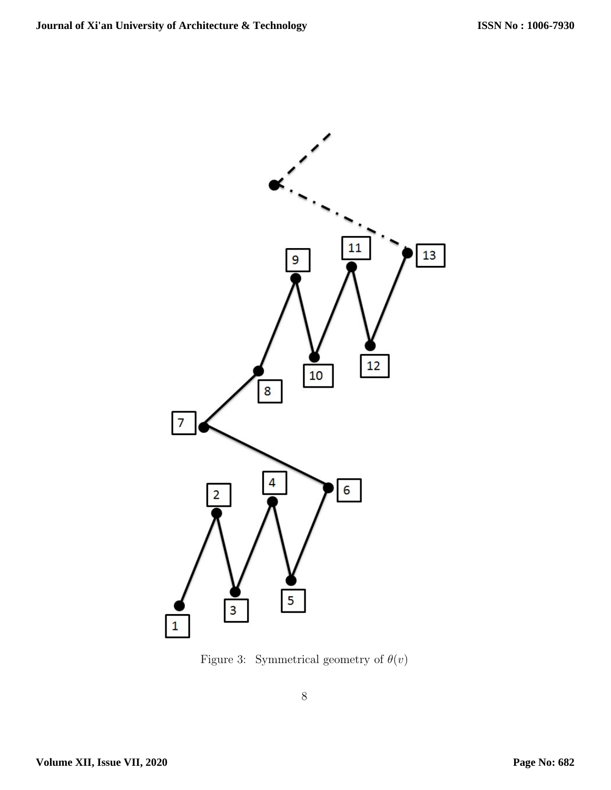

<span id="page-7-0"></span>Figure 3: Symmetrical geometry of  $\theta(v)$